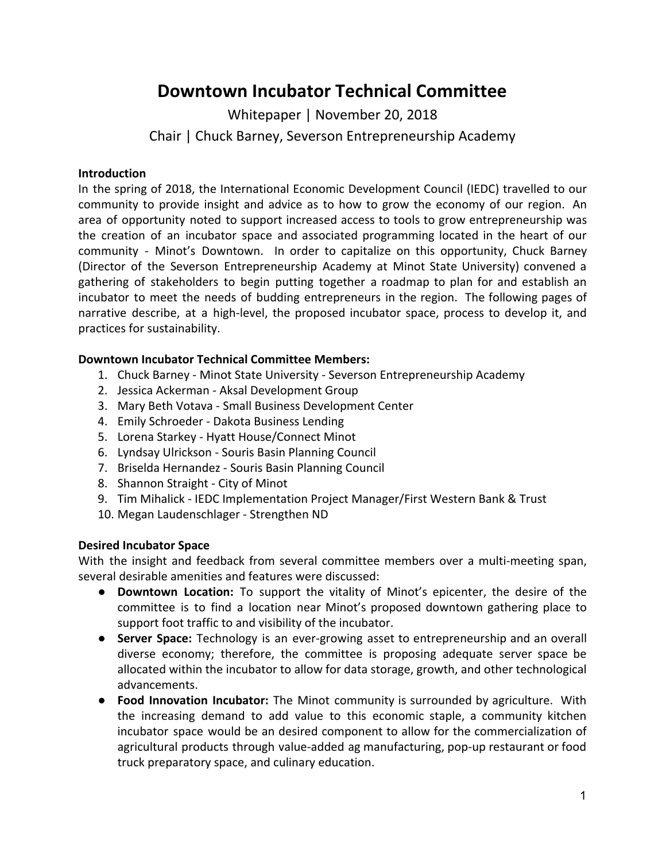# **Downtown Incubator Technical Committee**

Whitepaper | November 20, 2018

Chair | Chuck Barney, Severson Entrepreneurship Academy

#### **Introduction**

In the spring of 2018, the International Economic Development Council (IEDC) travelled to our community to provide insight and advice as to how to grow the economy of our region. An area of opportunity noted to support increased access to tools to grow entrepreneurship was the creation of an incubator space and associated programming located in the heart of our community - Minot's Downtown. In order to capitalize on this opportunity, Chuck Barney (Director of the Severson Entrepreneurship Academy at Minot State University) convened a gathering of stakeholders to begin putting together a roadmap to plan for and establish an incubator to meet the needs of budding entrepreneurs in the region. The following pages of narrative describe, at a high-level, the proposed incubator space, process to develop it, and practices for sustainability.

# **Downtown Incubator Technical Committee Members:**

- 1. Chuck Barney Minot State University Severson Entrepreneurship Academy
- 2. Jessica Ackerman Aksal Development Group
- 3. Mary Beth Votava Small Business Development Center
- 4. Emily Schroeder Dakota Business Lending
- 5. Lorena Starkey Hyatt House/Connect Minot
- 6. Lyndsay Ulrickson Souris Basin Planning Council
- 7. Briselda Hernandez Souris Basin Planning Council
- 8. Shannon Straight City of Minot
- 9. Tim Mihalick IEDC Implementation Project Manager/First Western Bank & Trust
- 10. Megan Laudenschlager Strengthen ND

# **Desired Incubator Space**

With the insight and feedback from several committee members over a multi-meeting span, several desirable amenities and features were discussed:

- **Downtown Location:** To support the vitality of Minot's epicenter, the desire of the committee is to find a location near Minot's proposed downtown gathering place to support foot traffic to and visibility of the incubator.
- **Server Space:** Technology is an ever-growing asset to entrepreneurship and an overall diverse economy; therefore, the committee is proposing adequate server space be allocated within the incubator to allow for data storage, growth, and other technological advancements.
- **Food Innovation Incubator:** The Minot community is surrounded by agriculture. With the increasing demand to add value to this economic staple, a community kitchen incubator space would be an desired component to allow for the commercialization of agricultural products through value-added ag manufacturing, pop-up restaurant or food truck preparatory space, and culinary education.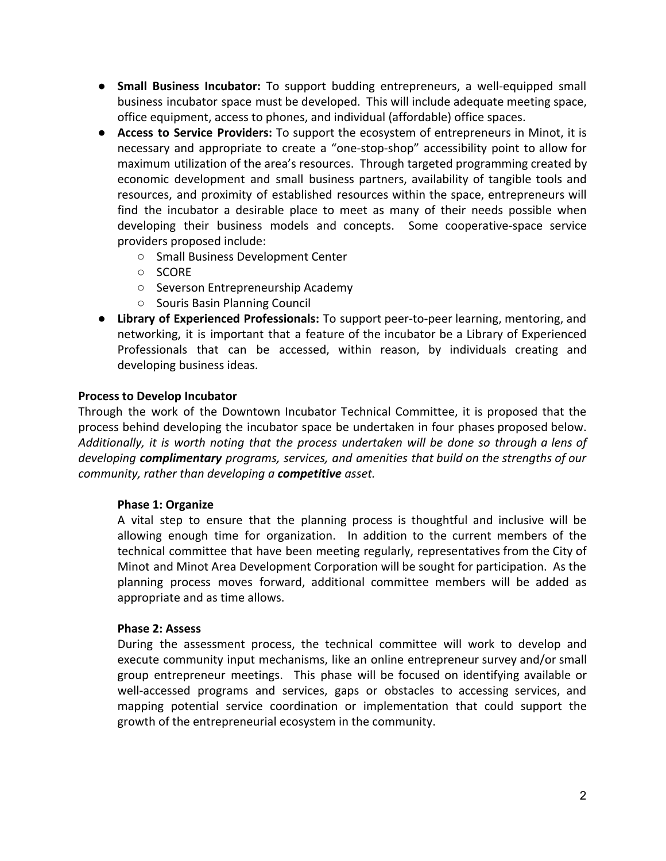- **Small Business Incubator:** To support budding entrepreneurs, a well-equipped small business incubator space must be developed. This will include adequate meeting space, office equipment, access to phones, and individual (affordable) office spaces.
- **Access to Service Providers:** To support the ecosystem of entrepreneurs in Minot, it is necessary and appropriate to create a "one-stop-shop" accessibility point to allow for maximum utilization of the area's resources. Through targeted programming created by economic development and small business partners, availability of tangible tools and resources, and proximity of established resources within the space, entrepreneurs will find the incubator a desirable place to meet as many of their needs possible when developing their business models and concepts. Some cooperative-space service providers proposed include:
	- Small Business Development Center
	- SCORE
	- Severson Entrepreneurship Academy
	- Souris Basin Planning Council
- **Library of Experienced Professionals:** To support peer-to-peer learning, mentoring, and networking, it is important that a feature of the incubator be a Library of Experienced Professionals that can be accessed, within reason, by individuals creating and developing business ideas.

# **Process to Develop Incubator**

Through the work of the Downtown Incubator Technical Committee, it is proposed that the process behind developing the incubator space be undertaken in four phases proposed below. *Additionally, it is worth noting that the process undertaken will be done so through a lens of developing complimentary programs, services, and amenities that build on the strengths of our community, rather than developing a competitive asset.*

#### **Phase 1: Organize**

A vital step to ensure that the planning process is thoughtful and inclusive will be allowing enough time for organization. In addition to the current members of the technical committee that have been meeting regularly, representatives from the City of Minot and Minot Area Development Corporation will be sought for participation. As the planning process moves forward, additional committee members will be added as appropriate and as time allows.

#### **Phase 2: Assess**

During the assessment process, the technical committee will work to develop and execute community input mechanisms, like an online entrepreneur survey and/or small group entrepreneur meetings. This phase will be focused on identifying available or well-accessed programs and services, gaps or obstacles to accessing services, and mapping potential service coordination or implementation that could support the growth of the entrepreneurial ecosystem in the community.